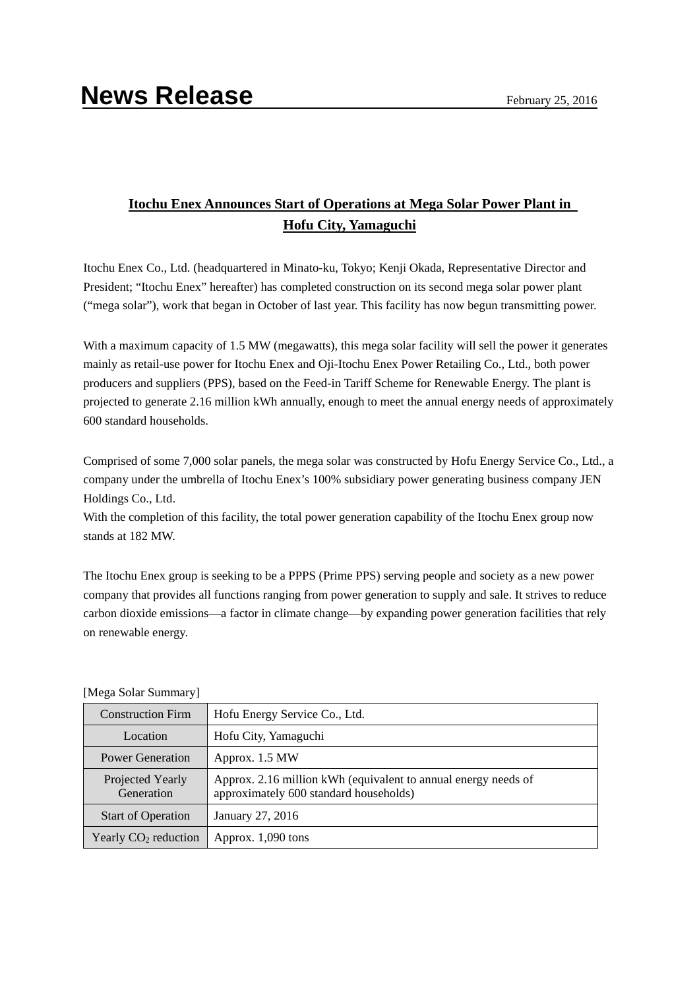## **Itochu Enex Announces Start of Operations at Mega Solar Power Plant in Hofu City, Yamaguchi**

Itochu Enex Co., Ltd. (headquartered in Minato-ku, Tokyo; Kenji Okada, Representative Director and President; "Itochu Enex" hereafter) has completed construction on its second mega solar power plant ("mega solar"), work that began in October of last year. This facility has now begun transmitting power.

With a maximum capacity of 1.5 MW (megawatts), this mega solar facility will sell the power it generates mainly as retail-use power for Itochu Enex and Oji-Itochu Enex Power Retailing Co., Ltd., both power producers and suppliers (PPS), based on the Feed-in Tariff Scheme for Renewable Energy. The plant is projected to generate 2.16 million kWh annually, enough to meet the annual energy needs of approximately 600 standard households.

Comprised of some 7,000 solar panels, the mega solar was constructed by Hofu Energy Service Co., Ltd., a company under the umbrella of Itochu Enex's 100% subsidiary power generating business company JEN Holdings Co., Ltd.

With the completion of this facility, the total power generation capability of the Itochu Enex group now stands at 182 MW.

The Itochu Enex group is seeking to be a PPPS (Prime PPS) serving people and society as a new power company that provides all functions ranging from power generation to supply and sale. It strives to reduce carbon dioxide emissions—a factor in climate change—by expanding power generation facilities that rely on renewable energy.

| <b>Construction Firm</b>       | Hofu Energy Service Co., Ltd.                                                                            |
|--------------------------------|----------------------------------------------------------------------------------------------------------|
| Location                       | Hofu City, Yamaguchi                                                                                     |
| <b>Power Generation</b>        | Approx. 1.5 MW                                                                                           |
| Projected Yearly<br>Generation | Approx. 2.16 million kWh (equivalent to annual energy needs of<br>approximately 600 standard households) |
| <b>Start of Operation</b>      | January 27, 2016                                                                                         |
| Yearly $CO2$ reduction         | Approx. 1,090 tons                                                                                       |

[Mega Solar Summary]